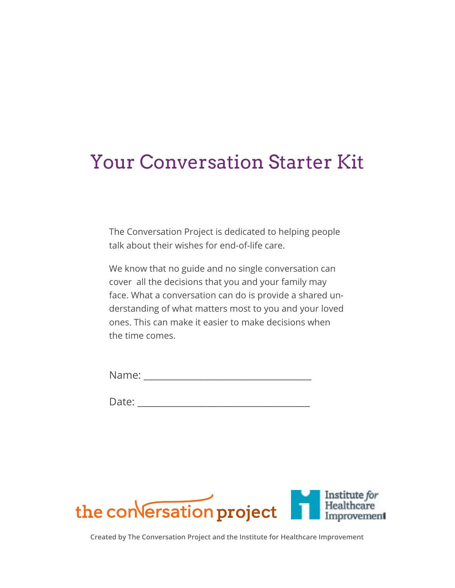# Your Conversation Starter Kit

The Conversation Project is dedicated to helping people talk about their wishes for end-of-life care.

We know that no guide and no single conversation can cover all the decisions that you and your family may face. What a conversation can do is provide a shared understanding of what matters most to you and your loved ones. This can make it easier to make decisions when the time comes.

| $I$ valli $\sigma$ . |
|----------------------|
|----------------------|



**Created by The Conversation Project and the Institute for Healthcare Improvement**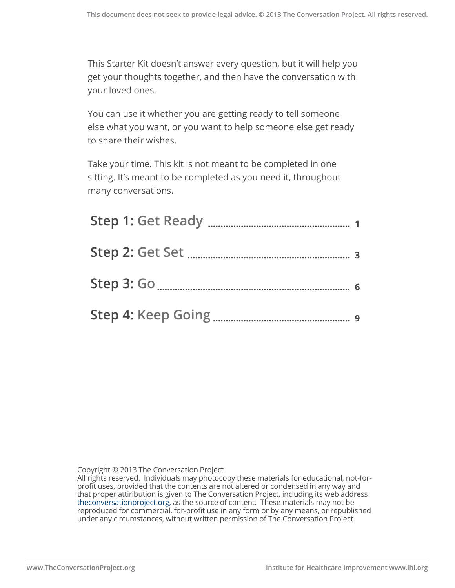This Starter Kit doesn't answer every question, but it will help you get your thoughts together, and then have the conversation with your loved ones.

You can use it whether you are getting ready to tell someone else what you want, or you want to help someone else get ready to share their wishes.

Take your time. This kit is not meant to be completed in one sitting. It's meant to be completed as you need it, throughout many conversations.

Copyright © 2013 The Conversation Project

All rights reserved. Individuals may photocopy these materials for educational, not-forprofit uses, provided that the contents are not altered or condensed in any way and that proper attiribution is given to The Conversation Project, including its web address theconversationproject.org, as the source of content. These materials may not be reproduced for commercial, for-profit use in any form or by any means, or republished under any circumstances, without written permission of The Conversation Project.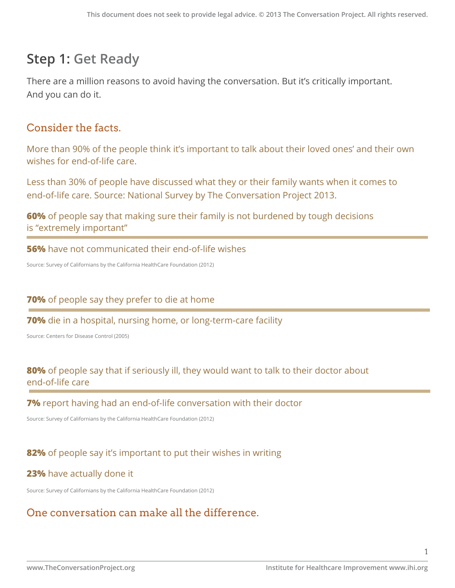## **Step 1: Get Ready**

There are a million reasons to avoid having the conversation. But it's critically important. And you can do it.

## Consider the facts.

More than 90% of the people think it's important to talk about their loved ones' and their own wishes for end-of-life care.

Less than 30% of people have discussed what they or their family wants when it comes to end-of-life care. Source: National Survey by The Conversation Project 2013.

**60%** of people say that making sure their family is not burdened by tough decisions is "extremely important"

**56%** have not communicated their end-of-life wishes

Source: Survey of Californians by the California HealthCare Foundation (2012)

### **70%** of people say they prefer to die at home

**70%** die in a hospital, nursing home, or long-term-care facility

Source: Centers for Disease Control (2005)

## **80%** of people say that if seriously ill, they would want to talk to their doctor about end-of-life care

#### **7%** report having had an end-of-life conversation with their doctor

Source: Survey of Californians by the California HealthCare Foundation (2012)

## **82%** of people say it's important to put their wishes in writing

#### **23%** have actually done it

Source: Survey of Californians by the California HealthCare Foundation (2012)

## One conversation can make all the difference.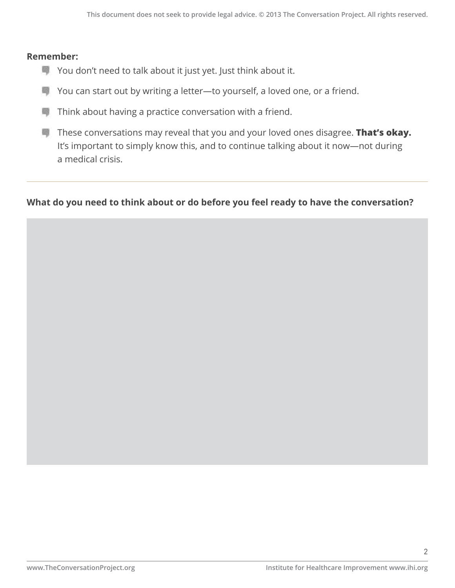#### **Remember:**

- You don't need to talk about it just yet. Just think about it.
- You can start out by writing a letter—to yourself, a loved one, or a friend.
- Think about having a practice conversation with a friend.
- These conversations may reveal that you and your loved ones disagree. **That's okay.**  It's important to simply know this, and to continue talking about it now—not during a medical crisis.

#### **What do you need to think about or do before you feel ready to have the conversation?**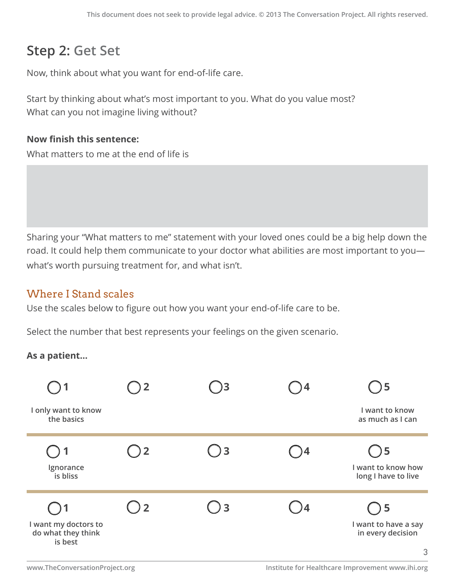## **Step 2: Get Set**

Now, think about what you want for end-of-life care.

Start by thinking about what's most important to you. What do you value most? What can you not imagine living without?

### **Now finish this sentence:**

What matters to me at the end of life is

Sharing your "What matters to me" statement with your loved ones could be a big help down the road. It could help them communicate to your doctor what abilities are most important to you what's worth pursuing treatment for, and what isn't.

## Where I Stand scales

Use the scales below to figure out how you want your end-of-life care to be.

Select the number that best represents your feelings on the given scenario.

### **As a patient...**

|                                                                | $\overline{2}$ | $\overline{\phantom{a}}$ |      | )5                                                        |
|----------------------------------------------------------------|----------------|--------------------------|------|-----------------------------------------------------------|
| I only want to know<br>the basics                              |                |                          |      | I want to know<br>as much as I can                        |
| Ignorance<br>is bliss                                          | $\bigcirc$ 2   | $\bigcirc$ 3             | )4   | $\bigcirc$ 5<br>I want to know how<br>long I have to live |
| ( ) 1<br>I want my doctors to<br>do what they think<br>is best | $\overline{2}$ | $\bigcirc$ 3             | - )4 | $\bigcirc$ 5<br>I want to have a say<br>in every decision |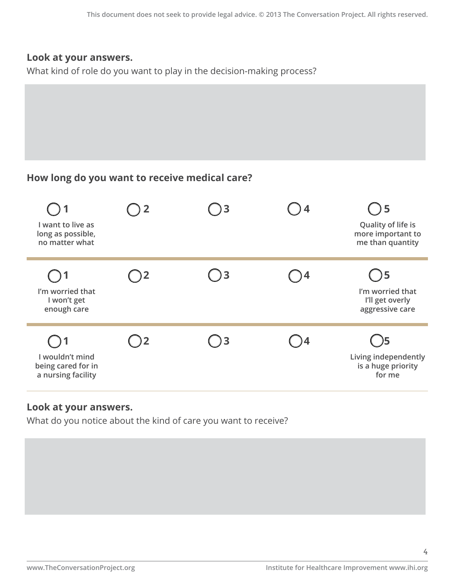## **Look at your answers.**

What kind of role do you want to play in the decision-making process?

## **How long do you want to receive medical care?**

| I want to live as<br>long as possible,<br>no matter what    |              | $\big)$ 3                   |            | 5<br>Quality of life is<br>more important to<br>me than quantity    |
|-------------------------------------------------------------|--------------|-----------------------------|------------|---------------------------------------------------------------------|
| I'm worried that<br>I won't get<br>enough care              | $\sqrt{2}$   | $\bigcup$ 3                 | $\sqrt{4}$ | <b>)5</b><br>I'm worried that<br>I'll get overly<br>aggressive care |
| I wouldn't mind<br>being cared for in<br>a nursing facility | $\mathbf{2}$ | $\overline{\phantom{a}}$ )3 |            | Living independently<br>is a huge priority<br>for me                |

### **Look at your answers.**

What do you notice about the kind of care you want to receive?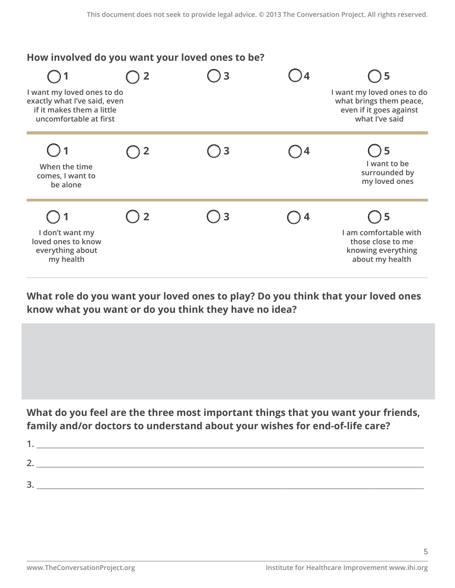## **How involved do you want your loved ones to be?**



**What role do you want your loved ones to play? Do you think that your loved ones know what you want or do you think they have no idea?** 



**What do you feel are the three most important things that you want your friends, family and/or doctors to understand about your wishes for end-of-life care?**

| ۰ |  |
|---|--|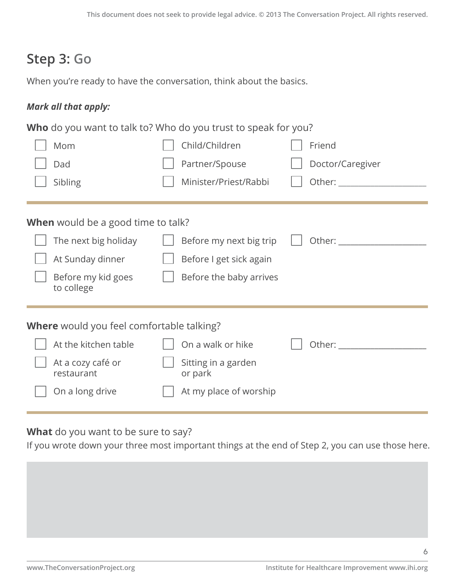## **Step 3: Go**

When you're ready to have the conversation, think about the basics.

## *Mark all that apply:*

|                                                  | Mom                                       |  | Child/Children                 |  | Friend                                                                                                                                                                                                                         |
|--------------------------------------------------|-------------------------------------------|--|--------------------------------|--|--------------------------------------------------------------------------------------------------------------------------------------------------------------------------------------------------------------------------------|
|                                                  | Dad                                       |  | Partner/Spouse                 |  | Doctor/Caregiver                                                                                                                                                                                                               |
|                                                  | Sibling                                   |  | Minister/Priest/Rabbi          |  | Other: and the control of the control of the control of the control of the control of the control of the control of the control of the control of the control of the control of the control of the control of the control of t |
|                                                  | <b>When</b> would be a good time to talk? |  |                                |  |                                                                                                                                                                                                                                |
|                                                  | The next big holiday                      |  | Before my next big trip        |  | Other: __________                                                                                                                                                                                                              |
|                                                  | At Sunday dinner                          |  | Before I get sick again        |  |                                                                                                                                                                                                                                |
|                                                  | Before my kid goes<br>to college          |  | Before the baby arrives        |  |                                                                                                                                                                                                                                |
| <b>Where</b> would you feel comfortable talking? |                                           |  |                                |  |                                                                                                                                                                                                                                |
|                                                  | At the kitchen table                      |  | On a walk or hike              |  | Other: ______                                                                                                                                                                                                                  |
|                                                  | At a cozy café or<br>restaurant           |  | Sitting in a garden<br>or park |  |                                                                                                                                                                                                                                |
|                                                  | On a long drive                           |  | At my place of worship         |  |                                                                                                                                                                                                                                |

## **What** do you want to be sure to say?

If you wrote down your three most important things at the end of Step 2, you can use those here.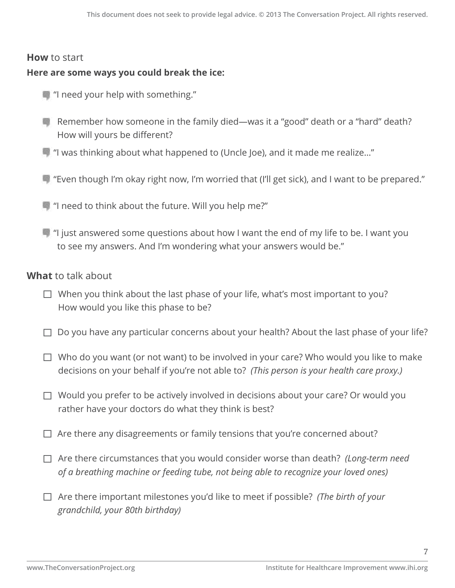#### **How** to start

### **Here are some ways you could break the ice:**

- **<sup>2</sup>** "I need your help with something."
- Remember how someone in the family died—was it a "good" death or a "hard" death? How will yours be different?
- "I was thinking about what happened to (Uncle Joe), and it made me realize…"
- "Even though I'm okay right now, I'm worried that (I'll get sick), and I want to be prepared."
- "I need to think about the future. Will you help me?"
- $\blacksquare$  "I just answered some questions about how I want the end of my life to be. I want you to see my answers. And I'm wondering what your answers would be."

## **What** to talk about

- $\Box$  When you think about the last phase of your life, what's most important to you? How would you like this phase to be?
- $\Box$  Do you have any particular concerns about your health? About the last phase of your life?
- $\Box$  Who do you want (or not want) to be involved in your care? Who would you like to make decisions on your behalf if you're not able to? *(This person is your health care proxy.)*
- $\Box$  Would you prefer to be actively involved in decisions about your care? Or would you rather have your doctors do what they think is best?
- $\Box$  Are there any disagreements or family tensions that you're concerned about?
- Are there circumstances that you would consider worse than death? *(Long-term need of a breathing machine or feeding tube, not being able to recognize your loved ones)*
- Are there important milestones you'd like to meet if possible? *(The birth of your grandchild, your 80th birthday)*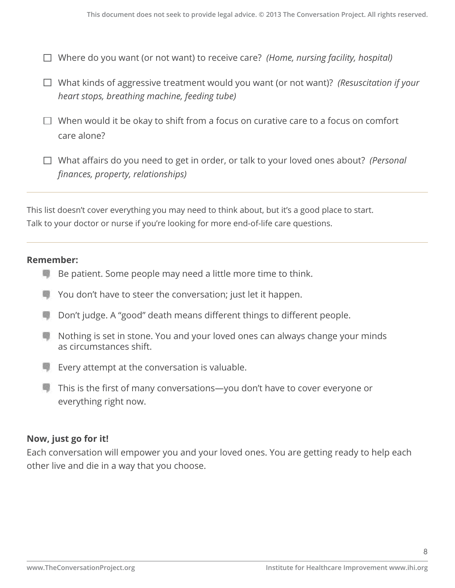- Where do you want (or not want) to receive care? *(Home, nursing facility, hospital)*
- What kinds of aggressive treatment would you want (or not want)? *(Resuscitation if your heart stops, breathing machine, feeding tube)*
- $\Box$  When would it be okay to shift from a focus on curative care to a focus on comfort care alone?
- What affairs do you need to get in order, or talk to your loved ones about? *(Personal finances, property, relationships)*

This list doesn't cover everything you may need to think about, but it's a good place to start. Talk to your doctor or nurse if you're looking for more end-of-life care questions.

#### **Remember:**

- $\blacksquare$  Be patient. Some people may need a little more time to think.
- You don't have to steer the conversation; just let it happen.
- **Don't judge. A "good" death means different things to different people.**
- **Nothing is set in stone. You and your loved ones can always change your minds** as circumstances shift.
- Every attempt at the conversation is valuable.
- This is the first of many conversations—you don't have to cover everyone or everything right now.

#### **Now, just go for it!**

Each conversation will empower you and your loved ones. You are getting ready to help each other live and die in a way that you choose.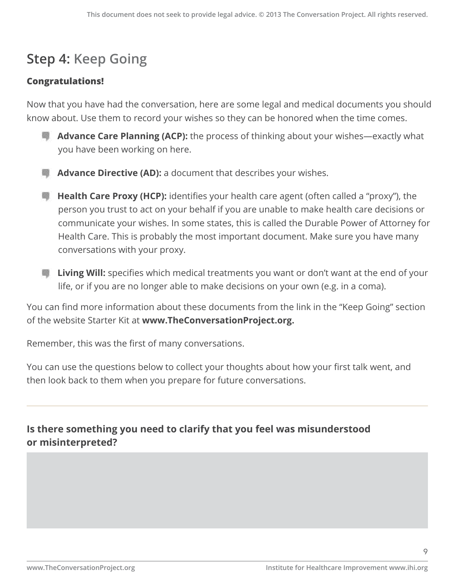## **Step 4: Keep Going**

## **Congratulations!**

Now that you have had the conversation, here are some legal and medical documents you should know about. Use them to record your wishes so they can be honored when the time comes.

- **Advance Care Planning (ACP):** the process of thinking about your wishes—exactly what you have been working on here.
- **Advance Directive (AD):** a document that describes your wishes.
- **Health Care Proxy (HCP):** identifies your health care agent (often called a "proxy"), the person you trust to act on your behalf if you are unable to make health care decisions or communicate your wishes. In some states, this is called the Durable Power of Attorney for Health Care. This is probably the most important document. Make sure you have many conversations with your proxy.
- **Living Will:** specifies which medical treatments you want or don't want at the end of your life, or if you are no longer able to make decisions on your own (e.g. in a coma).

You can find more information about these documents from the link in the "Keep Going" section of the website Starter Kit at **www.TheConversationProject.org.**

Remember, this was the first of many conversations.

You can use the questions below to collect your thoughts about how your first talk went, and then look back to them when you prepare for future conversations.

## **Is there something you need to clarify that you feel was misunderstood or misinterpreted?**